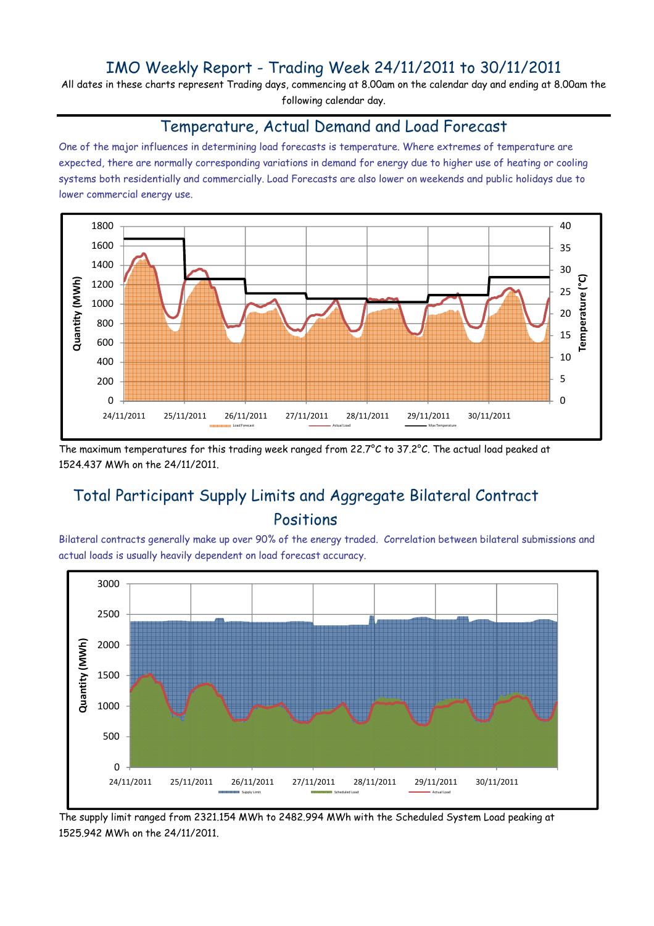# IMO Weekly Report - Trading Week 24/11/2011 to 30/11/2011

All dates in these charts represent Trading days, commencing at 8.00am on the calendar day and ending at 8.00am the following calendar day.

#### Temperature, Actual Demand and Load Forecast

One of the major influences in determining load forecasts is temperature. Where extremes of temperature are expected, there are normally corresponding variations in demand for energy due to higher use of heating or cooling systems both residentially and commercially. Load Forecasts are also lower on weekends and public holidays due to lower commercial energy use.



The maximum temperatures for this trading week ranged from 22.7°C to 37.2°C. The actual load peaked at 1524.437 MWh on the 24/11/2011.

# Total Participant Supply Limits and Aggregate Bilateral Contract Positions

Bilateral contracts generally make up over 90% of the energy traded. Correlation between bilateral submissions and actual loads is usually heavily dependent on load forecast accuracy.



The supply limit ranged from 2321.154 MWh to 2482.994 MWh with the Scheduled System Load peaking at 1525.942 MWh on the 24/11/2011.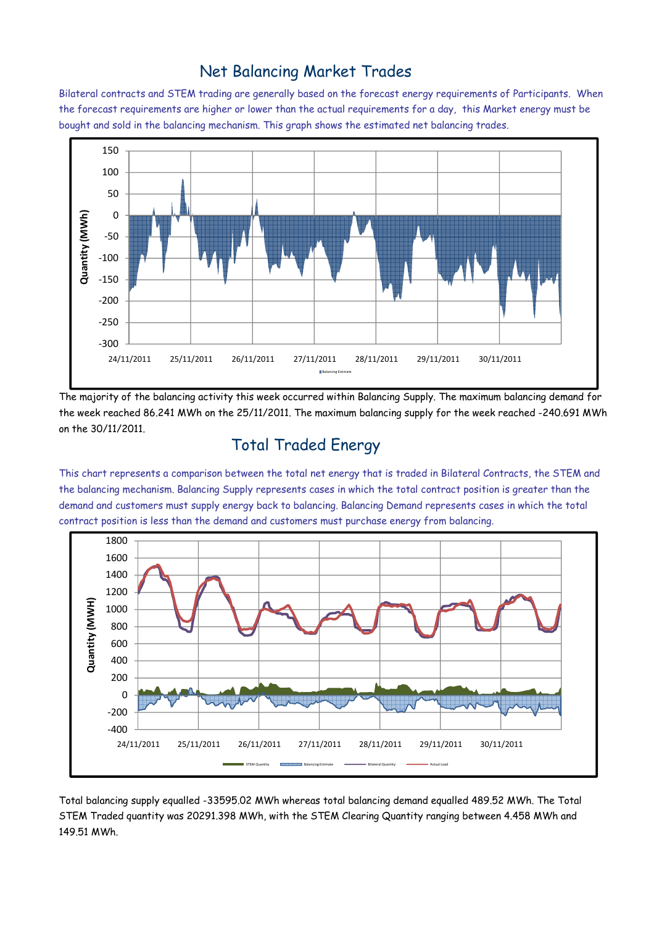## Net Balancing Market Trades

Bilateral contracts and STEM trading are generally based on the forecast energy requirements of Participants. When the forecast requirements are higher or lower than the actual requirements for a day, this Market energy must be bought and sold in the balancing mechanism. This graph shows the estimated net balancing trades.



The majority of the balancing activity this week occurred within Balancing Supply. The maximum balancing demand for the week reached 86.241 MWh on the 25/11/2011. The maximum balancing supply for the week reached -240.691 MWh on the 30/11/2011.

# Total Traded Energy

This chart represents a comparison between the total net energy that is traded in Bilateral Contracts, the STEM and the balancing mechanism. Balancing Supply represents cases in which the total contract position is greater than the demand and customers must supply energy back to balancing. Balancing Demand represents cases in which the total contract position is less than the demand and customers must purchase energy from balancing.



Total balancing supply equalled -33595.02 MWh whereas total balancing demand equalled 489.52 MWh. The Total STEM Traded quantity was 20291.398 MWh, with the STEM Clearing Quantity ranging between 4.458 MWh and 149.51 MWh.